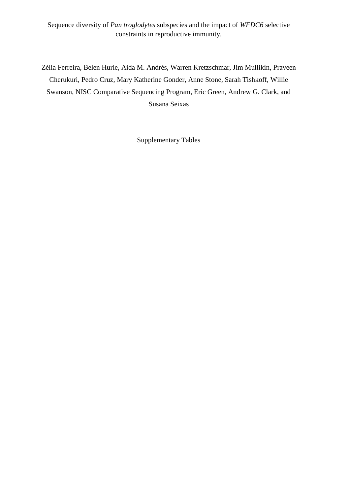Sequence diversity of *Pan troglodytes* subspecies and the impact of *WFDC6* selective constraints in reproductive immunity.

Zélia Ferreira, Belen Hurle, Aida M. Andrés, Warren Kretzschmar, Jim Mullikin, Praveen Cherukuri, Pedro Cruz, Mary Katherine Gonder, Anne Stone, Sarah Tishkoff, Willie Swanson, NISC Comparative Sequencing Program, Eric Green, Andrew G. Clark, and Susana Seixas

Supplementary Tables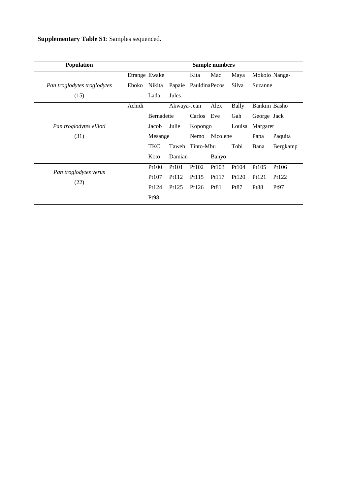**Supplementary Table S1**: Samples sequenced.

| <b>Population</b>           |               |                   |             |                 | <b>Sample numbers</b> |        |             |               |
|-----------------------------|---------------|-------------------|-------------|-----------------|-----------------------|--------|-------------|---------------|
|                             | Etrange Ewake |                   |             | Kita            | Mac                   | Maya   |             | Mokolo Nanga- |
| Pan troglodytes troglodytes | Eboko         | Nikita            | Papaie      | PauldinaPecos   |                       | Silva  | Suzanne     |               |
| (15)                        |               | Lada              | Jules       |                 |                       |        |             |               |
|                             | Achidi        |                   | Akwaya-Jean |                 | Alex                  | Bally  |             | Bankim Basho  |
|                             |               | <b>Bernadette</b> |             | Carlos Eve      |                       | Gah    | George Jack |               |
| Pan troglodytes ellioti     |               | Jacob             | Julie       | Kopongo         |                       | Louisa | Margaret    |               |
| (31)                        |               | Mesange           |             | Nemo            | Nicolene              |        | Papa        | Paquita       |
|                             |               | <b>TKC</b>        |             | Taweh Tinto-Mbu |                       | Tobi   | Bana        | Bergkamp      |
|                             |               | Koto              | Damian      |                 | Banyo                 |        |             |               |
| Pan troglodytes verus       |               | Pt100             | Pt101       | Pt102           | Pt103                 | Pt104  | Pt105       | Pt106         |
|                             |               | Pt107             | Pt112       | Pt115           | Pt117                 | Pt120  | Pt121       | Pt122         |
| (22)                        |               | Pt124             | Pt125       | Pt126           | Pt81                  | Pt87   | <b>Pt88</b> | Pt97          |
|                             |               | Pt98              |             |                 |                       |        |             |               |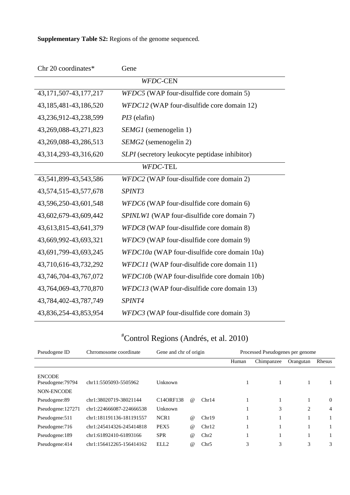**Supplementary Table S2:** Regions of the genome sequenced.

| Chr 20 coordinates*<br>Gene                                           |                                                |  |  |  |  |  |  |
|-----------------------------------------------------------------------|------------------------------------------------|--|--|--|--|--|--|
| <b>WFDC-CEN</b>                                                       |                                                |  |  |  |  |  |  |
| WFDC5 (WAP four-disulfide core domain 5)<br>43, 171, 507-43, 177, 217 |                                                |  |  |  |  |  |  |
| WFDC12 (WAP four-disulfide core domain 12)<br>43,185,481-43,186,520   |                                                |  |  |  |  |  |  |
| 43,236,912-43,238,599                                                 | $PI3$ (elafin)                                 |  |  |  |  |  |  |
| 43,269,088-43,271,823                                                 | <i>SEMG1</i> (semenogelin 1)                   |  |  |  |  |  |  |
| 43,269,088-43,286,513                                                 | SEMG2 (semenogelin 2)                          |  |  |  |  |  |  |
| 43,314,293-43,316,620                                                 | SLPI (secretory leukocyte peptidase inhibitor) |  |  |  |  |  |  |
| WFDC-TEL                                                              |                                                |  |  |  |  |  |  |
| 43,541,899-43,543,586                                                 | WFDC2 (WAP four-disulfide core domain 2)       |  |  |  |  |  |  |
| 43,574,515-43,577,678                                                 | SPINT3                                         |  |  |  |  |  |  |
| 43,596,250-43,601,548                                                 | WFDC6 (WAP four-disulfide core domain 6)       |  |  |  |  |  |  |
| 43,602,679-43,609,442                                                 | SPINLW1 (WAP four-disulfide core domain 7)     |  |  |  |  |  |  |
| 43,613,815-43,641,379                                                 | WFDC8 (WAP four-disulfide core domain 8)       |  |  |  |  |  |  |
| 43,669,992-43,693,321                                                 | WFDC9 (WAP four-disulfide core domain 9)       |  |  |  |  |  |  |
| 43,691,799-43,693,245                                                 | WFDC10a (WAP four-disulfide core domain 10a)   |  |  |  |  |  |  |
| 43,710,616-43,732,292                                                 | WFDC11 (WAP four-disulfide core domain 11)     |  |  |  |  |  |  |
| 43,746,704-43,767,072                                                 | WFDC10b (WAP four-disulfide core domain 10b)   |  |  |  |  |  |  |
| 43,764,069-43,770,870                                                 | WFDC13 (WAP four-disulfide core domain 13)     |  |  |  |  |  |  |
| 43,784,402-43,787,749                                                 | SPINT4                                         |  |  |  |  |  |  |
| 43,836,254-43,853,954                                                 | WFDC3 (WAP four-disulfide core domain 3)       |  |  |  |  |  |  |

## #Control Regions [\(Andrés, et al. 2010\)](#page-9-0)

| Pseudogene ID                                    | Chrromosome coordinate   | Gene and chr of origin |          |       |       | Processed Pseudogenes per genome |                |          |
|--------------------------------------------------|--------------------------|------------------------|----------|-------|-------|----------------------------------|----------------|----------|
|                                                  |                          |                        |          |       | Human | Chimpanzee                       | Orangutan      | Rhesus   |
| <b>ENCODE</b><br>Pseudogene: 79794<br>NON-ENCODE | chr11:5505093-5505962    | Unknown                |          |       |       |                                  | 1              |          |
| Pseudogene:89                                    | chr1:38020719-38021144   | C140RF138              | $\omega$ | Chr14 |       |                                  | 1              | $\bf{0}$ |
| Pseudogene: 127271                               | chr1:224666087-224666538 | Unknown                |          |       |       | 3                                | $\overline{2}$ | 4        |
| Pseudogene: 511                                  | chr1:181191136-181191557 | NCR <sub>1</sub>       | $\omega$ | Chr19 |       |                                  | 1              |          |
| Pseudogene: 716                                  | chr1:245414326-245414818 | PEX <sub>5</sub>       | $\omega$ | Chr12 |       |                                  | 1              |          |
| Pseudogene:189                                   | chr1:61892410-61893166   | <b>SPR</b>             | $\omega$ | Chr2  |       |                                  | 1              |          |
| Pseudogene:414                                   | chr1:156412265-156414162 | ELL2                   | $\omega$ | Chr5  | 3     | 3                                | 3              | 3        |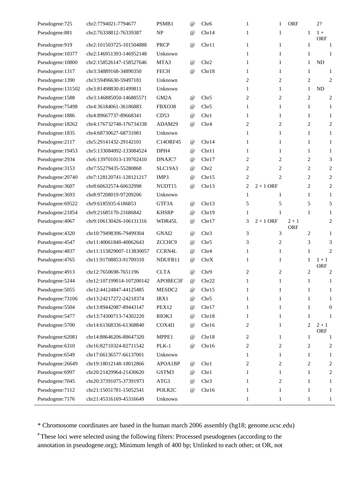| Pseudogene: 725   | chr2:7794021-7794677      | PSMB1              | $^{\omega}$     | Chr <sub>6</sub> | 1              | 1              | <b>ORF</b>            | 2?                    |
|-------------------|---------------------------|--------------------|-----------------|------------------|----------------|----------------|-----------------------|-----------------------|
| Pseudogene:881    | chr2:76338812-76339387    | <b>NP</b>          | $^{\omega}$     | Chr14            | 1              | 1              | 1                     | $1+$<br><b>ORF</b>    |
| Pseudogene:919    | chr2:101503725-101504888  | <b>PRCP</b>        | $^{\omega}{}$   | Chr11            | $\mathbf{1}$   | $\mathbf{1}$   | $\mathbf{1}$          | $\mathbf{1}$          |
| Pseudogene: 10377 | chr2:146951393-146952148  | Unknown            |                 |                  | 1              | 1              | 1                     | 1                     |
| Pseudogene: 10800 | chr2:158526147-158527646  | MTA3               | $^{\omega}{}$   | Chr <sub>2</sub> | 1              | $\mathbf{1}$   | 1                     | <b>ND</b>             |
| Pseudogene:1317   | chr3:34889168-34890350    | <b>FECH</b>        | $^{\omega}{}$   | Chr18            | 1              | $\mathbf{1}$   | 1                     | 1                     |
| Pseudogene:1390   | chr3:59496630-59497181    | Unknown            |                 |                  | $\overline{2}$ | 2              | 2                     | 2                     |
| Pseudogene:131502 | chr3:81498830-81499811    | Unknown            |                 |                  | 1              | 1              | $\mathbf{1}$          | <b>ND</b>             |
| Pseudogene:1588   | chr3:146885050-146885571  | GM <sub>2</sub> A  | $^{\omega}{}$   | Chr <sub>5</sub> | $\overline{2}$ | 2              | 2                     | 2                     |
| Pseudogene: 75498 | chr4:36184061-36186883    | FBXO38             | $^{\omega}{}$   | Chr <sub>5</sub> | 1              | $\mathbf{1}$   | 1                     | 1                     |
| Pseudogene: 1886  | chr4:89667737-89668341    | CD53               | $^{\omega}$     | Chr1             | 1              | $\mathbf{1}$   | $\mathbf{1}$          | 1                     |
| Pseudogene: 18262 | chr4:176732748-176734338  | ADAM29             | $^{\omega}{}$   | Chr4             | 2              | 2              | $\overline{2}$        | 2                     |
| Pseudogene:1835   | chr4:68730627-68731081    | Unknown            |                 |                  | 1              | $\mathbf{1}$   | $\mathbf{1}$          | 1                     |
| Pseudogene:2117   | chr5:29141432-29142101    | C14ORF45           | $^{\omega}$     | Chr14            | 1              | $\mathbf{1}$   | 1                     | $\mathbf{1}$          |
| Pseudogene: 19453 | chr5:133084092-133084524  | DPH4               | $^{\omega}$     | Chr11            | 1              | $\mathbf{1}$   | $\mathbf{1}$          | 1                     |
| Pseudogene:2934   | chr6:139701013-139702410  | DNAJC7             | $^{\omega}$     | Chr17            | 2              | 2              | 2                     | 3                     |
| Pseudogene: 3153  | chr7:55279435-55280868    | SLC19A3            | $^{\omega}$     | Chr <sub>2</sub> | $\overline{2}$ | $\overline{2}$ | 2                     | 2                     |
| Pseudogene: 20740 | chr7:128120741-128121217  | IMP3               | $^{\omega}{}$   | Chr15            | 2              | 2              | 2                     | 2                     |
| Pseudogene: 3607  | chr8:60632574-60632998    | NUDT <sub>15</sub> | $^{\omega}{}$   | Chr13            | 2              | $2 + 1$ ORF    | 2                     | 2                     |
| Pseudogene: 3693  | chr8:97208019-97209206    | Unknown            |                 |                  | 1              | 1              | 1                     | $\mathbf{1}$          |
| Pseudogene: 69522 | chr9:6185935-6186853      | GTF3A              | $^{\omega}$     | Chr13            | 5              | 5              | 5                     | 5                     |
| Pseudogene:21854  | chr9:21685170-21686842    | <b>KHSRP</b>       | $^{\omega}$     | Chr19            | 1              | $\mathbf{1}$   | $\mathbf{1}$          | $\mathbf{1}$          |
| Pseudogene: 4067  | chr9:106130426-106131316  | WDR45L             | $^{\omega}$     | Chr17            | 3              | $2 + 1$ ORF    | $2 + 1$<br><b>ORF</b> | 2                     |
| Pseudogene:4320   | chr10:79498396-79499304   | GNAI2              | $^{\omega}{}$   | Chr <sub>3</sub> | 3              | 3              | 2                     | $\mathbf{1}$          |
| Pseudogene: 4547  | chr11:40061840-40062643   | ZCCHC <sub>9</sub> | $\omega$        | Chr <sub>5</sub> | 3              | 2              | 3                     | 3                     |
| Pseudogene: 4837  | chr11:113829007-113830057 | <b>CCRN4L</b>      | $^{\circ}$      | Chr <sub>4</sub> | 1              | $\mathbf{1}$   | $\mathbf{1}$          | 2                     |
| Pseudogene: 4765  | chr11:91708853-91709310   | NDUFB11            | $^{\omega}$     | ChrX             | $\mathbf{1}$   | $\mathbf{1}$   | $\mathbf{1}$          | $1 + 1$<br><b>ORF</b> |
| Pseudogene: 4913  | chr12:7650698-7651196     | <b>CLTA</b>        | $\omega$        | Chr9             | 2              | 2              | 2                     | 2                     |
| Pseudogene: 5244  | chr12:107199014-107200142 | APOBEC3F           | $\omega$        | Chr22            | 1              | $\mathbf{1}$   | $\mathbf{1}$          | 1                     |
| Pseudogene: 5055  | chr12:44124847-44125485   | MESDC2             | $^{\copyright}$ | Chr15            | 1              | 1              | $\mathbf{1}$          | 1                     |
| Pseudogene: 73106 | chr13:24217272-24218374   | IRX1               | @               | Chr <sub>5</sub> | 1              | $\mathbf{1}$   | $\mathbf{1}$          | 1                     |
| Pseudogene: 5504  | chr13:89442087-89443147   | PEX12              | @               | Chr17            | 1              | $\mathbf{1}$   | 1                     | $\boldsymbol{0}$      |
| Pseudogene: 5477  | chr13:74300713-74302220   | RIOK3              | $^{\omega}$     | Chr18            | 1              | $\mathbf{1}$   | $\mathbf{1}$          | 1                     |
| Pseudogene: 5700  | chr14:61368336-61368840   | COX4I1             | $^{\copyright}$ | Chr16            | 2              | 1              | 2                     | $2 + 1$<br><b>ORF</b> |
| Pseudogene: 62081 | chr14:88646206-88647320   | MPPE1              | $^{\copyright}$ | Chr18            | 2              | $\mathbf{1}$   | $\mathbf{1}$          | $\mathbf{1}$          |
| Pseudogene: 6310  | chr16:82710324-82711542   | $PLK-1$            | $^{\omega}{}$   | Chr16            | 2              | 2              | 2                     | 2                     |
| Pseudogene: 6549  | chr17:66136577-66137001   | Unknown            |                 |                  | 1              | $\mathbf{1}$   | 1                     | 1                     |
| Pseudogene: 26649 | chr19:18012148-18012866   | APOA1BP            | $^{\copyright}$ | Chr1             | 2              | 2              | 2                     | 2                     |
| Pseudogene: 6997  | chr20:21429964-21430620   | GSTM3              | $^{\omega}$     | Chr1             | 1              | $\mathbf{1}$   | $\mathbf{1}$          | 2                     |
| Pseudogene: 7045  | chr20:37391075-37391973   | ATG3               | $^{\omega}{}$   | Chr <sub>3</sub> | 1              | 2              | 1                     | 1                     |
| Pseudogene: 7112  | chr21:15051781-15052541   | POLR2C             | $^{\omega}$     | Chr16            | 1              | $\mathbf{1}$   | $\mathbf{1}$          | 1                     |
| Pseudogene: 7176  | chr21:45316169-45316649   | Unknown            |                 |                  | 1              | 1              | 1                     | 1                     |

\* Chromosome coordinates are based in the human march 2006 assembly (hg18; genome.ucsc.edu)

# These loci were selected using the following filters: Processed pseudogenes (according to the annotation in pseudogene.org); Minimum length of 400 bp; Unlinked to each other; ot OR, not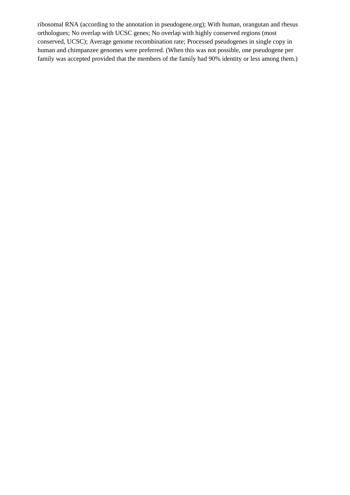ribosomal RNA (according to the annotation in pseudogene.org); With human, orangutan and rhesus orthologues; No overlap with UCSC genes; No overlap with highly conserved regions (most conserved, UCSC); Average genome recombination rate; Processed pseudogenes in single copy in human and chimpanzee genomes were preferred. (When this was not possible, one pseudogene per family was accepted provided that the members of the family had 90% identity or less among them.)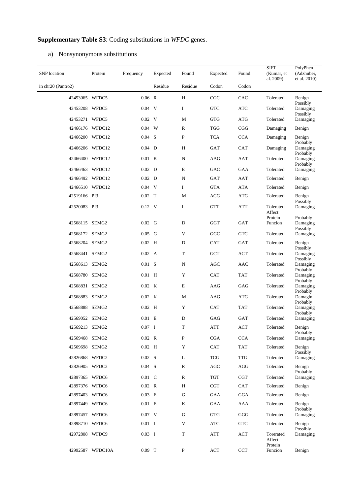## **Supplementary Table S3**: Coding substitutions in *WFDC* genes.

## a) Nonsynonymous substitutions

| <b>SNP</b> location | Protein          | Frequency      | Expected | Found         | Expected   | Found          | <b>SIFT</b><br>(Kumar, et      | PolyPhen<br>(Adzhubei,           |
|---------------------|------------------|----------------|----------|---------------|------------|----------------|--------------------------------|----------------------------------|
| in chr20 (Pantro2)  |                  |                | Residue  | Residue       | Codon      | Codon          | al. 2009)                      | et al. 2010)                     |
|                     |                  |                |          |               |            |                |                                |                                  |
| 42453065 WFDC5      |                  | $0.06$ R       |          | H             | CGC        | CAC            | Tolerated                      | Benign<br>Possibly               |
| 42453208 WFDC5      |                  | $0.04$ V       |          | I             | <b>GTC</b> | <b>ATC</b>     | Tolerated                      | Damaging<br>Possibly             |
| 42453271 WFDC5      |                  | $0.02 \quad V$ |          | M             | <b>GTG</b> | <b>ATG</b>     | Tolerated                      | Damaging                         |
| 42466176 WFDC12     |                  | $0.04$ W       |          | ${\mathbb R}$ | <b>TGG</b> | $_{\rm CGG}$   | Damaging                       | Benign                           |
| 42466200 WFDC12     |                  | $0.04$ S       |          | $\, {\bf P}$  | <b>TCA</b> | <b>CCA</b>     | Damaging                       | Benign<br>Probably               |
| 42466206 WFDC12     |                  | $0.04$ D       |          | $\, {\rm H}$  | GAT        | CAT            | Damaging                       | Damaging                         |
| 42466400 WFDC12     |                  | $0.01$ K       |          | ${\bf N}$     | AAG        | AAT            | Tolerated                      | Probably<br>Damaging<br>Probably |
| 42466463 WFDC12     |                  | $0.02$ D       |          | $\mathbf E$   | GAC        | GAA            | Tolerated                      | Damaging                         |
| 42466492 WFDC12     |                  | $0.02$ D       |          | ${\bf N}$     | <b>GAT</b> | AAT            | Tolerated                      | Benign                           |
| 42466510 WFDC12     |                  | $0.04$ V       |          | I             | <b>GTA</b> | <b>ATA</b>     | Tolerated                      | Benign                           |
| 42519166 PI3        |                  | $0.02$ T       |          | M             | ACG        | <b>ATG</b>     | Tolerated                      | Benign<br>Possibly               |
| 42520083 PI3        |                  | $0.12$ V       |          | I             | <b>GTT</b> | <b>ATT</b>     | Tolerated<br>Affect            | Damaging                         |
| 42568115 SEMG2      |                  | $0.02$ G       |          | D             | GGT        | GAT            | Protein<br>Funcion             | Probably<br>Damaging<br>Possibly |
| 42568172 SEMG2      |                  | $0.05$ G       |          | V             | GGC        | <b>GTC</b>     | Tolerated                      | Damaging                         |
| 42568204 SEMG2      |                  | $0.02$ H       |          | D             | <b>CAT</b> | <b>GAT</b>     | Tolerated                      | Benign<br>Possibly               |
| 42568441 SEMG2      |                  | $0.02\quad A$  |          | $\mathbf T$   | <b>GCT</b> | $\mathbf{ACT}$ | Tolerated                      | Damaging<br>Possibly             |
| 42568613 SEMG2      |                  | $0.01$ S       |          | ${\bf N}$     | AGC        | <b>AAC</b>     | Tolerated                      | Damaging<br>Probably             |
| 42568780 SEMG2      |                  | $0.01$ H       |          | $\mathbf Y$   | <b>CAT</b> | <b>TAT</b>     | Tolerated                      | Damaging<br>Probably             |
| 42568831 SEMG2      |                  | $0.02$ K       |          | $\mathbf E$   | AAG        | GAG            | Tolerated                      | Damaging                         |
| 42568883 SEMG2      |                  | $0.02$ K       |          | $\mathbf M$   | AAG        | <b>ATG</b>     | Tolerated                      | Probably<br>Damagin<br>Probably  |
| 42568888 SEMG2      |                  | $0.02$ H       |          | $\mathbf Y$   | <b>CAT</b> | <b>TAT</b>     | Tolerated                      | Damaging<br>Probably             |
| 42569052 SEMG2      |                  | $0.01$ E       |          | D             | GAG        | <b>GAT</b>     | Tolerated                      | Damaging                         |
| 42569213 SEMG2      |                  | $0.07 \quad I$ |          | T             | ATT        | <b>ACT</b>     | Tolerated                      | Benign<br>Probably               |
| 42569468 SEMG2      |                  | $0.02$ R       |          | $\mathbf{P}$  | CGA        | <b>CCA</b>     | Tolerated                      | Damaging                         |
| 42569698 SEMG2      |                  | $0.02$ H       |          | $\mathbf Y$   | <b>CAT</b> | <b>TAT</b>     | Tolerated                      | Benign<br>Possibly               |
| 42826868 WFDC2      |                  | $0.02$ S       |          | L             | <b>TCG</b> | <b>TTG</b>     | Tolerated                      | Damaging                         |
| 42826905 WFDC2      |                  | $0.04$ S       |          | $\mathbb{R}$  | AGC        | AGG            | Tolerated                      | Benign<br>Probably               |
| 42897365 WFDC6      |                  | $0.01\quad C$  |          | $\mathbb{R}$  | <b>TGT</b> | <b>CGT</b>     | Tolerated                      | Damaging                         |
| 42897376 WFDC6      |                  | $0.02$ R       |          | H             | <b>CGT</b> | CAT            | Tolerated                      | Benign                           |
| 42897403 WFDC6      |                  | $0.03$ E       |          | G             | GAA        | <b>GGA</b>     | Tolerated                      | Benign                           |
| 42897449 WFDC6      |                  | $0.01$ E       |          | K             | GAA        | AAA            | Tolerated                      | Benign<br>Probably               |
| 42897457 WFDC6      |                  | $0.07$ V       |          | G             | <b>GTG</b> | GGG            | Tolerated                      | Damaging                         |
| 42898710 WFDC6      |                  | $0.01$ I       |          | $\mathbf V$   | <b>ATC</b> | <b>GTC</b>     | Tolerated                      | Benign<br>Possibly               |
| 42972808 WFDC9      |                  | $0.03$ I       |          | T             | <b>ATT</b> | <b>ACT</b>     | Torerated<br>Affect<br>Protein | Damaging                         |
|                     | 42992587 WFDC10A | $0.09$ T       |          | P             | <b>ACT</b> | <b>CCT</b>     | Funcion                        | Benign                           |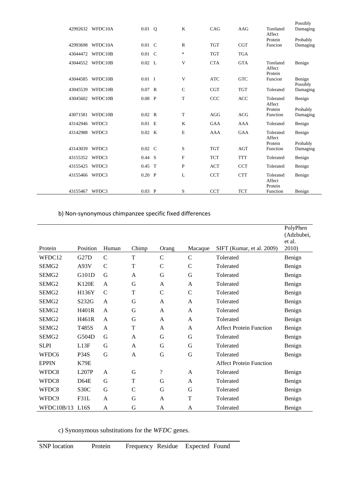| 42992632 | WFDC10A          | $0.01$ Q       | K           | CAG        | AAG        | Torelated                      | Possibly<br>Damaging |
|----------|------------------|----------------|-------------|------------|------------|--------------------------------|----------------------|
| 42993698 | WFDC10A          | $0.01\quad C$  | R           | <b>TGT</b> | <b>CGT</b> | Affect<br>Protein<br>Funcion   | Probably<br>Damaging |
| 43044472 | WFDC10B          | $0.01 \quad C$ | $\ast$      | <b>TGT</b> | <b>TGA</b> |                                |                      |
| 43044552 | WFDC10B          | 0.02 L         | V           | <b>CTA</b> | <b>GTA</b> | Torelated<br>Affect<br>Protein | Benign               |
|          | 43044585 WFDC10B | $0.01 \quad I$ | V           | <b>ATC</b> | <b>GTC</b> | Funcion                        | Benign<br>Possibly   |
| 43045539 | WFDC10B          | $0.07$ R       | $\mathbf C$ | <b>CGT</b> | <b>TGT</b> | Tolerated                      | Damaging             |
| 43045602 | WFDC10B          | $0.08$ P       | T           | CCC        | <b>ACC</b> | Tolerated<br>Affect            | Benign               |
| 43071581 | WFDC10B          | $0.02 \quad R$ | T           | AGG        | ACG        | Protein<br><b>Function</b>     | Probably<br>Damaging |
| 43142946 | WFDC3            | $0.01$ E       | K           | <b>GAA</b> | AAA        | Tolerated                      | Benign               |
| 43142988 | WFDC3            | $0.02$ K       | E           | <b>AAA</b> | GAA        | Tolerated<br>Affect            | Benign               |
| 43143039 | WFDC3            | $0.02 \quad C$ | S           | <b>TGT</b> | AGT        | Protein<br><b>Function</b>     | Probably<br>Damaging |
| 43155352 | WFDC3            | $0.44$ S       | F           | <b>TCT</b> | <b>TTT</b> | Tolerated                      | Benign               |
| 43155425 | WFDC3            | $0.45$ T       | P           | <b>ACT</b> | <b>CCT</b> | Tolerated                      | Benign               |
| 43155466 | WFDC3            | $0.20$ P       | L           | <b>CCT</b> | <b>CTT</b> | Tolerated<br>Affect<br>Protein | Benign               |
| 43155467 | WFDC3            | $0.03$ P       | S           | <b>CCT</b> | <b>TCT</b> | Function                       | Benign               |

b) Non-synonymous chimpanzee specific fixed differences

| Protein           | Position          | Human        | Chimp          | Orang              | Macaque        | SIFT (Kumar, et al. 2009)      | PolyPhen<br>(Adzhubei,<br>et al.<br>2010) |
|-------------------|-------------------|--------------|----------------|--------------------|----------------|--------------------------------|-------------------------------------------|
| WFDC12            | G <sub>27</sub> D | $\mathsf{C}$ | T              | $\mathcal{C}$      | $\mathcal{C}$  | Tolerated                      | Benign                                    |
| SEMG <sub>2</sub> | A93V              | $\mathsf{C}$ | $\mathbf T$    | $\mathsf{C}$       | $\mathsf{C}$   | Tolerated                      | Benign                                    |
| SEMG2             | G101D             | G            | A              | G                  | G              | Tolerated                      | Benign                                    |
| SEMG <sub>2</sub> | <b>K120E</b>      | A            | G              | A                  | $\mathsf{A}$   | Tolerated                      | Benign                                    |
| SEMG <sub>2</sub> | H136Y             | $\mathsf{C}$ | T              | $\mathbf C$        | $\mathcal{C}$  | Tolerated                      | Benign                                    |
| SEMG <sub>2</sub> | S232G             | $\mathsf{A}$ | G              | A                  | $\mathsf{A}$   | Tolerated                      | Benign                                    |
| SEMG <sub>2</sub> | <b>H401R</b>      | $\mathsf{A}$ | G              | $\overline{A}$     | $\overline{A}$ | Tolerated                      | Benign                                    |
| SEMG <sub>2</sub> | H461R             | A            | G              | A                  | A              | Tolerated                      | Benign                                    |
| SEMG2             | T485S             | A            | T              | A                  | $\mathsf{A}$   | <b>Affect Protein Function</b> | Benign                                    |
| SEMG <sub>2</sub> | G504D             | G            | A              | G                  | G              | Tolerated                      | Benign                                    |
| <b>SLPI</b>       | L13F              | G            | A              | G                  | G              | Tolerated                      | Benign                                    |
| WFDC6             | <b>P34S</b>       | G            | $\overline{A}$ | G                  | G              | Tolerated                      | Benign                                    |
| <b>EPPIN</b>      | K79E              |              |                |                    |                | <b>Affect Protein Function</b> |                                           |
| WFDC8             | L207P             | A            | G              | $\overline{\cdot}$ | A              | Tolerated                      | Benign                                    |
| WFDC8             | D64E              | G            | T              | G                  | $\mathsf{A}$   | Tolerated                      | Benign                                    |
| WFDC8             | S30C              | G            | $\mathbf C$    | G                  | G              | Tolerated                      | Benign                                    |
| WFDC9             | F31L              | A            | G              | A                  | T              | Tolerated                      | Benign                                    |
| WFDC10B/13 L16S   |                   | A            | G              | A                  | A              | Tolerated                      | Benign                                    |

c) Synonymous substitutions for the *WFDC* genes.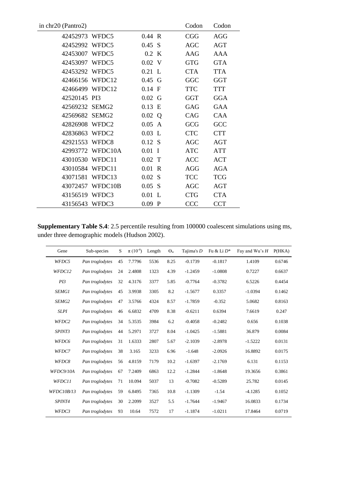| in chr20 (Pantro2) |                  |           | Codon      | Codon      |
|--------------------|------------------|-----------|------------|------------|
| 42452973 WFDC5     |                  | 0.44 R    | <b>CGG</b> | <b>AGG</b> |
| 42452992 WFDC5     |                  | 0.45 S    | <b>AGC</b> | <b>AGT</b> |
| 42453007 WFDC5     |                  | $0.2$ K   | AAG        | AAA        |
| 42453097 WFDC5     |                  | $0.02$ V  | <b>GTG</b> | <b>GTA</b> |
| 42453292 WFDC5     |                  | $0.21$ L  | <b>CTA</b> | <b>TTA</b> |
| 42466156 WFDC12    |                  | $0.45$ G  | GGC        | <b>GGT</b> |
| 42466499 WFDC12    |                  | $0.14$ F  | <b>TTC</b> | <b>TTT</b> |
| 42520145 PI3       |                  | $0.02\ G$ | <b>GGT</b> | <b>GGA</b> |
| 42569232 SEMG2     |                  | $0.13$ E  | GAG        | <b>GAA</b> |
| 42569682 SEMG2     |                  | 0.02<br>Q | CAG        | CAA        |
| 42826908 WFDC2     |                  | 0.05<br>A | GCG        | GCC        |
| 42836863 WFDC2     |                  | $0.03$ L  | <b>CTC</b> | <b>CTT</b> |
| 42921553 WFDC8     |                  | $0.12$ S  | <b>AGC</b> | <b>AGT</b> |
|                    | 42993772 WFDC10A | $0.01$ I  | <b>ATC</b> | <b>ATT</b> |
| 43010530 WFDC11    |                  | $0.02$ T  | ACC        | <b>ACT</b> |
| 43010584 WFDC11    |                  | $0.01$ R  | <b>AGG</b> | <b>AGA</b> |
| 43071581 WFDC13    |                  | $0.02$ S  | <b>TCC</b> | <b>TCG</b> |
|                    | 43072457 WFDC10B | 0.05 S    | AGC        | <b>AGT</b> |
| 43156519 WFDC3     |                  | 0.01<br>L | <b>CTG</b> | <b>CTA</b> |
| 43156543 WFDC3     |                  | $0.09$ P  | <b>CCC</b> | <b>CCT</b> |

**Supplementary Table S.4**: 2.5 percentile resulting from 100000 coalescent simulations using ms, under three demographic models [\(Hudson 2002\)](#page-9-3).

| Gene              | Sub-species     | S  | $\pi$ (10 <sup>-4</sup> ) | Length | $\Theta_{\rm w}$ | Tajima's $D$ | Fu & Li $D^*$ | Fay and Wu's $H$ | P(HKA) |
|-------------------|-----------------|----|---------------------------|--------|------------------|--------------|---------------|------------------|--------|
| WFDC5             | Pan troglodytes | 45 | 7.7796                    | 5536   | 8.25             | $-0.1739$    | $-0.1817$     | 1.4109           | 0.6746 |
| WFDC12            | Pan troglodytes | 24 | 2.4808                    | 1323   | 4.39             | $-1.2459$    | $-1.0808$     | 0.7227           | 0.6637 |
| PI3               | Pan troglodytes | 32 | 4.3176                    | 3377   | 5.85             | $-0.7764$    | $-0.3782$     | 6.5226           | 0.4454 |
| <b>SEMG1</b>      | Pan troglodytes | 45 | 3.9938                    | 3305   | 8.2              | $-1.5677$    | 0.3357        | $-1.0394$        | 0.1462 |
| SEMG <sub>2</sub> | Pan troglodytes | 47 | 3.5766                    | 4324   | 8.57             | $-1.7859$    | $-0.352$      | 5.0682           | 0.8163 |
| <b>SLPI</b>       | Pan troglodytes | 46 | 6.6832                    | 4709   | 8.38             | $-0.6211$    | 0.6394        | 7.6619           | 0.247  |
| WFDC2             | Pan troglodytes | 34 | 5.3535                    | 3984   | 6.2              | $-0.4058$    | $-0.2482$     | 0.656            | 0.1038 |
| SPINT3            | Pan troglodytes | 44 | 5.2971                    | 3727   | 8.04             | $-1.0425$    | $-1.5881$     | 36.879           | 0.0084 |
| WFDC6             | Pan troglodytes | 31 | 1.6333                    | 2807   | 5.67             | $-2.1039$    | $-2.8978$     | $-1.5222$        | 0.0131 |
| WFDC7             | Pan troglodytes | 38 | 3.165                     | 3233   | 6.96             | $-1.648$     | $-2.0926$     | 16.8892          | 0.0175 |
| WFDC8             | Pan troglodytes | 56 | 4.8159                    | 7179   | 10.2             | $-1.6397$    | $-2.1769$     | 6.131            | 0.1153 |
| WFDC9/10A         | Pan troglodytes | 67 | 7.2409                    | 6863   | 12.2             | $-1.2844$    | $-1.8648$     | 19.3656          | 0.3861 |
| WFDC11            | Pan troglodytes | 71 | 10.094                    | 5037   | 13               | $-0.7082$    | $-0.5289$     | 25.782           | 0.0145 |
| WFDC10B/13        | Pan troglodytes | 59 | 6.8495                    | 7365   | 10.8             | $-1.1309$    | $-1.54$       | $-4.1285$        | 0.1052 |
| <i>SPINT4</i>     | Pan troglodytes | 30 | 2.2099                    | 3527   | 5.5              | $-1.7644$    | $-1.9467$     | 16.0833          | 0.1734 |
| WFDC3             | Pan troglodytes | 93 | 10.64                     | 7572   | 17               | $-1.1874$    | $-1.0211$     | 17.8464          | 0.0719 |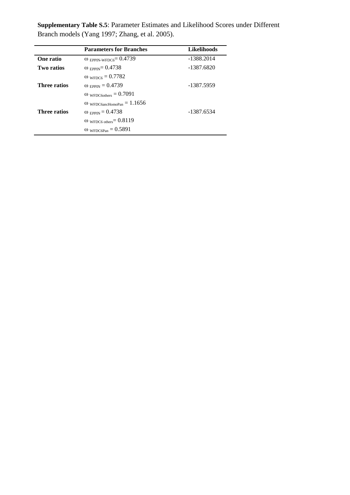|                     | <b>Parameters for Branches</b>           | <b>Likelihoods</b> |
|---------------------|------------------------------------------|--------------------|
| One ratio           | $\omega$ EPPIN-WFDC6 <sup>=</sup> 0.4739 | $-1388.2014$       |
| <b>Two ratios</b>   | $\omega$ EPPIN = 0.4738                  | $-1387.6820$       |
|                     | $ω$ <sub>WFDC6</sub> = 0.7782            |                    |
| Three ratios        | $\omega_{EPPIN} = 0.4739$                | -1387.5959         |
|                     | $\omega_{\text{WFDC6others}} = 0.7091$   |                    |
|                     | $\omega$ wFDC6ancHomoPan = 1.1656        |                    |
| <b>Three ratios</b> | $\omega_{\text{EPPIN}} = 0.4738$         | -1387.6534         |
|                     | $\omega$ wFDC6 others = 0.8119           |                    |
|                     | $\omega_{\text{WFDC6Pan}} = 0.5891$      |                    |

**Supplementary Table S.5**: Parameter Estimates and Likelihood Scores under Different Branch models [\(Yang 1997;](#page-9-4) [Zhang, et al. 2005\)](#page-9-5).